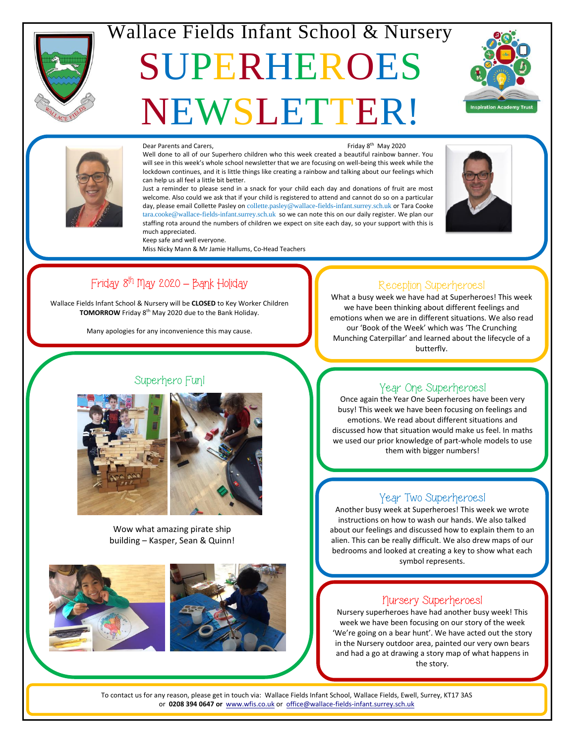

Ï

## Wallace Fields Infant School & Nursery

# SUPERHEROES NEWSLETTER!





#### Dear Parents and Carers,

Friday 8<sup>th</sup> May 2020

Well done to all of our Superhero children who this week created a beautiful rainbow banner. You will see in this week's whole school newsletter that we are focusing on well-being this week while the lockdown continues, and it is little things like creating a rainbow and talking about our feelings which can help us all feel a little bit better.

Just a reminder to please send in a snack for your child each day and donations of fruit are most welcome. Also could we ask that if your child is registered to attend and cannot do so on a particular day, please email Collette Pasley on [collette.pasley@wallace-fields-infant.surrey.sch.uk](mailto:collette.pasley@wallace-fields-infant.surrey.sch.uk) or Tara Cooke [tara.cooke@wallace-fields-infant.surrey.sch.uk](mailto:tara.cooke@wallace-fields-infant.surrey.sch.uk) so we can note this on our daily register. We plan our staffing rota around the numbers of children we expect on site each day, so your support with this is much appreciated.



#### Friday 8th May 2020 **–** Bank Holiday

Keep safe and well everyone.

Miss Nicky Mann & Mr Jamie Hallums, Co-Head Teachers

Wallace Fields Infant School & Nursery will be **CLOSED** to Key Worker Children **TOMORROW** Friday 8<sup>th</sup> May 2020 due to the Bank Holiday.

Many apologies for any inconvenience this may cause.



Wow what amazing pirate ship building – Kasper, Sean & Quinn!





**Fall Festival**

#### Reception Superheroes!

What a busy week we have had at Superheroes! This week we have been thinking about different feelings and emotions when we are in different situations. We also read our 'Book of the Week' which was 'The Crunching Munching Caterpillar' and learned about the lifecycle of a butterfly.

#### Year One Superheroes!

Once again the Year One Superheroes have been very busy! This week we have been focusing on feelings and emotions. We read about different situations and discussed how that situation would make us feel. In maths we used our prior knowledge of part-whole models to use them with bigger numbers!

#### Year Two Superheroes!

Another busy week at Superheroes! This week we wrote instructions on how to wash our hands. We also talked about our feelings and discussed how to explain them to an alien. This can be really difficult. We also drew maps of our bedrooms and looked at creating a key to show what each symbol represents.

#### Nursery Superheroes!

Nursery superheroes have had another busy week! This week we have been focusing on our story of the week 'We're going on a bear hunt'. We have acted out the story in the Nursery outdoor area, painted our very own bears and had a go at drawing a story map of what happens in the story.

**PTA**<br>PTA

**Oct 30 Nov 4 Dec 1** or **0208 394 0647 or** [www.wfis.co.uk](http://www.wfis.co.uk/) or [office@wallace-fields-infant.surrey.sch.uk](mailto:office@wallace-fields-infant.surrey.sch.uk) To contact us for any reason, please get in touch via: Wallace Fields Infant School, Wallace Fields, Ewell, Surrey, KT17 3AS

**Teacher Day**